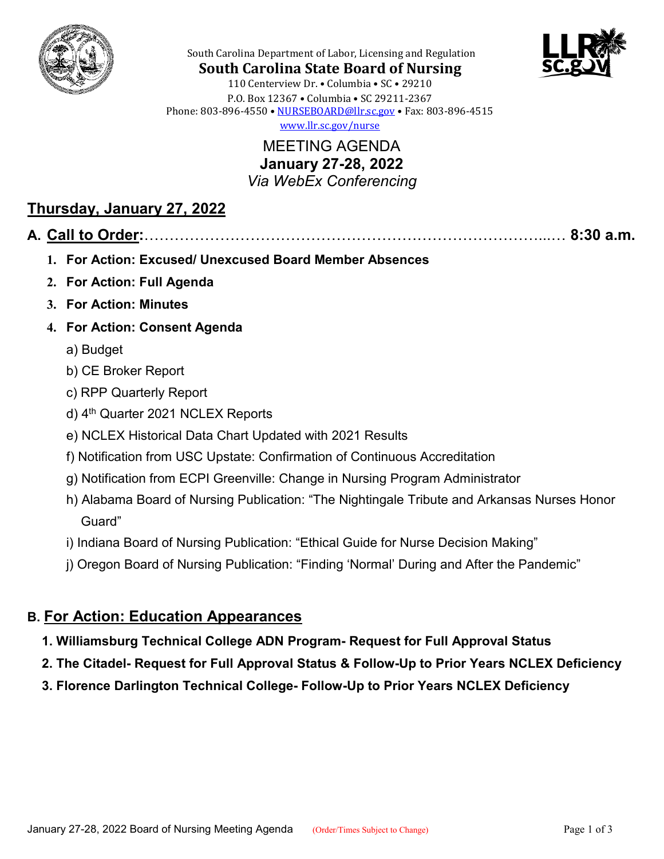



South Carolina Department of Labor, Licensing and Regulation

**South Carolina State Board of Nursing** 110 Centerview Dr. • Columbia • SC • 29210 P.O. Box 12367 • Columbia • SC 29211-2367 Phone: 803-896-4550 • [NURSEBOARD@llr.sc.gov](mailto:contactllr@llr.sc.gov) • Fax: 803-896-4515 [www.llr.sc.gov/nurse](http://www.llr.sc.gov/nurse)

> MEETING AGENDA **January 27-28, 2022** *Via WebEx Conferencing*

### **Thursday, January 27, 2022**

#### **A. Call to Order:**……………………………………………………………………...… **8:30 a.m.**

- **1. For Action: Excused/ Unexcused Board Member Absences**
- **2. For Action: Full Agenda**
- **3. For Action: Minutes**
- **4. For Action: Consent Agenda**
	- a) Budget
	- b) CE Broker Report
	- c) RPP Quarterly Report
	- d) 4<sup>th</sup> Quarter 2021 NCLEX Reports
	- e) NCLEX Historical Data Chart Updated with 2021 Results
	- f) Notification from USC Upstate: Confirmation of Continuous Accreditation
	- g) Notification from ECPI Greenville: Change in Nursing Program Administrator
	- h) Alabama Board of Nursing Publication: "The Nightingale Tribute and Arkansas Nurses Honor Guard"
	- i) Indiana Board of Nursing Publication: "Ethical Guide for Nurse Decision Making"
	- j) Oregon Board of Nursing Publication: "Finding 'Normal' During and After the Pandemic"

### **B. For Action: Education Appearances**

- **1. Williamsburg Technical College ADN Program- Request for Full Approval Status**
- **2. The Citadel- Request for Full Approval Status & Follow-Up to Prior Years NCLEX Deficiency**
- **3. Florence Darlington Technical College- Follow-Up to Prior Years NCLEX Deficiency**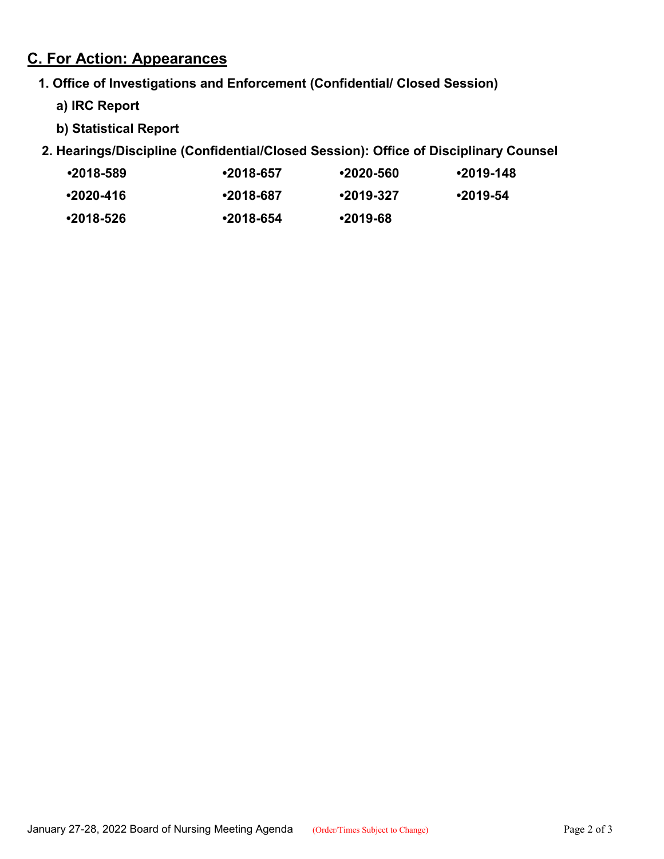## **C. For Action: Appearances**

#### **1. Office of Investigations and Enforcement (Confidential/ Closed Session)**

- **a) IRC Report**
- **b) Statistical Report**

### **2. Hearings/Discipline (Confidential/Closed Session): Office of Disciplinary Counsel**

| ∙2018-589 | $•2018-657$      | •2020-560  | ∙2019-148  |
|-----------|------------------|------------|------------|
| •2020-416 | ∙2018-687        | •2019-327  | $•2019-54$ |
| ∙2018-526 | $\cdot$ 2018-654 | $•2019-68$ |            |